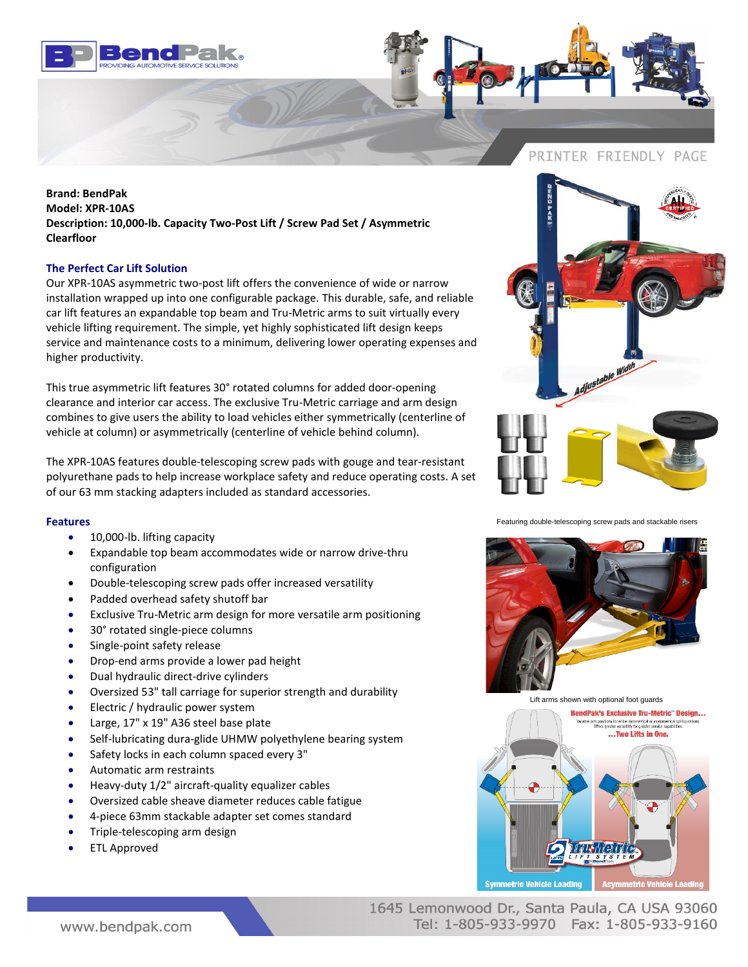



**Brand: BendPak Model: XPR-10AS Description: 10,000-lb. Capacity Two-Post Lift / Screw Pad Set / Asymmetric Clearfloor**

## **The Perfect Car Lift Solution**

Our XPR-10AS asymmetric two-post lift offers the convenience of wide or narrow installation wrapped up into one configurable package. This durable, safe, and reliable car lift features an expandable top beam and Tru-Metric arms to suit virtually every vehicle lifting requirement. The simple, yet highly sophisticated lift design keeps service and maintenance costs to a minimum, delivering lower operating expenses and higher productivity.

This true asymmetric lift features 30° rotated columns for added door-opening clearance and interior car access. The exclusive Tru-Metric carriage and arm design combines to give users the ability to load vehicles either symmetrically (centerline of vehicle at column) or asymmetrically (centerline of vehicle behind column).

The XPR-10AS features double-telescoping screw pads with gouge and tear-resistant polyurethane pads to help increase workplace safety and reduce operating costs. A set of our 63 mm stacking adapters included as standard accessories.

## **Features**

- 10,000-lb. lifting capacity
- Expandable top beam accommodates wide or narrow drive-thru configuration
- Double-telescoping screw pads offer increased versatility
- Padded overhead safety shutoff bar
- Exclusive Tru-Metric arm design for more versatile arm positioning
- 30° rotated single-piece columns
- Single-point safety release
- Drop-end arms provide a lower pad height
- Dual hydraulic direct-drive cylinders
- Oversized 53" tall carriage for superior strength and durability
- Electric / hydraulic power system
- Large, 17" x 19" A36 steel base plate
- Self-lubricating dura-glide UHMW polyethylene bearing system
- Safety locks in each column spaced every 3"
- Automatic arm restraints
- Heavy-duty 1/2" aircraft-quality equalizer cables
- Oversized cable sheave diameter reduces cable fatigue
- 4-piece 63mm stackable adapter set comes standard
- Triple-telescoping arm design
- ETL Approved



Featuring double-telescoping screw pads and stackable risers



Lift arms shown with optional foot guards



www.bendpak.com

1645 Lemonwood Dr., Santa Paula, CA USA 93060 Tel: 1-805-933-9970 Fax: 1-805-933-9160